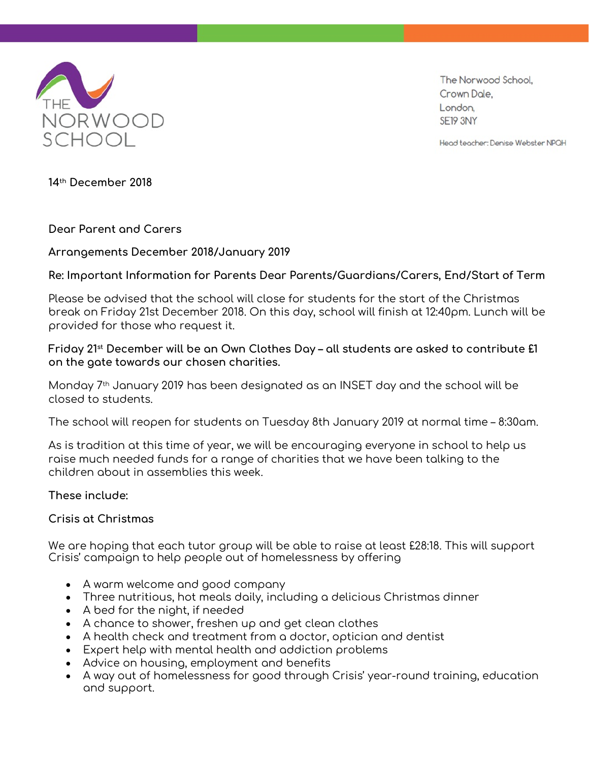

The Norwood School, Crown Dale, London. SE19 3NY

Head teacher: Denise Webster NPQH

**14th December 2018**

### **Dear Parent and Carers**

## **Arrangements December 2018/January 2019**

## **Re: Important Information for Parents Dear Parents/Guardians/Carers, End/Start of Term**

Please be advised that the school will close for students for the start of the Christmas break on Friday 21st December 2018. On this day, school will finish at 12:40pm. Lunch will be provided for those who request it.

# **Friday 21st December will be an Own Clothes Day – all students are asked to contribute £1 on the gate towards our chosen charities.**

Monday 7th January 2019 has been designated as an INSET day and the school will be closed to students.

The school will reopen for students on Tuesday 8th January 2019 at normal time – 8:30am.

As is tradition at this time of year, we will be encouraging everyone in school to help us raise much needed funds for a range of charities that we have been talking to the children about in assemblies this week.

### **These include:**

### **Crisis at Christmas**

We are hoping that each tutor group will be able to raise at least £28:18. This will support Crisis' campaign to help people out of homelessness by offering

- A warm welcome and good company
- Three nutritious, hot meals daily, including a delicious Christmas dinner
- A bed for the night, if needed
- A chance to shower, freshen up and get clean clothes
- A health check and treatment from a doctor, optician and dentist
- Expert help with mental health and addiction problems
- Advice on housing, employment and benefits
- A way out of homelessness for good through Crisis' year-round training, education and support.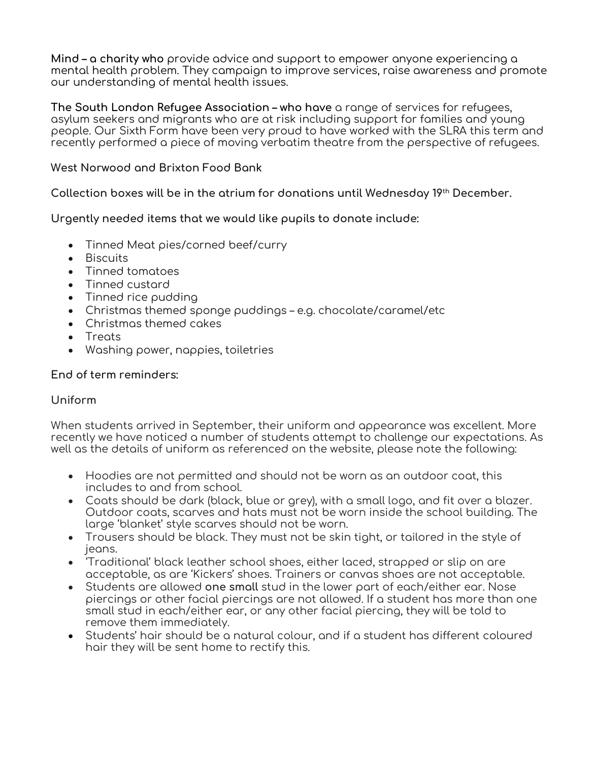**Mind – a charity who** provide advice and support to empower anyone experiencing a mental health problem. They campaign to improve services, raise awareness and promote our understanding of mental health issues.

**The South London Refugee Association – who have** a range of services for refugees, asylum seekers and migrants who are at risk including support for families and young people. Our Sixth Form have been very proud to have worked with the SLRA this term and recently performed a piece of moving verbatim theatre from the perspective of refugees.

# **West Norwood and Brixton Food Bank**

**Collection boxes will be in the atrium for donations until Wednesday 19th December.**

**Urgently needed items that we would like pupils to donate include:**

- Tinned Meat pies/corned beef/curry
- Biscuits
- Tinned tomatoes
- Tinned custard
- Tinned rice pudding
- Christmas themed sponge puddings e.g. chocolate/caramel/etc
- Christmas themed cakes
- Treats
- Washing power, nappies, toiletries

### **End of term reminders:**

# **Uniform**

When students arrived in September, their uniform and appearance was excellent. More recently we have noticed a number of students attempt to challenge our expectations. As well as the details of uniform as referenced on the website, please note the following:

- Hoodies are not permitted and should not be worn as an outdoor coat, this includes to and from school.
- Coats should be dark (black, blue or grey), with a small logo, and fit over a blazer. Outdoor coats, scarves and hats must not be worn inside the school building. The large 'blanket' style scarves should not be worn.
- Trousers should be black. They must not be skin tight, or tailored in the style of jeans.
- 'Traditional' black leather school shoes, either laced, strapped or slip on are acceptable, as are 'Kickers' shoes. Trainers or canvas shoes are not acceptable.
- Students are allowed **one small** stud in the lower part of each/either ear. Nose piercings or other facial piercings are not allowed. If a student has more than one small stud in each/either ear, or any other facial piercing, they will be told to remove them immediately.
- Students' hair should be a natural colour, and if a student has different coloured hair they will be sent home to rectify this.